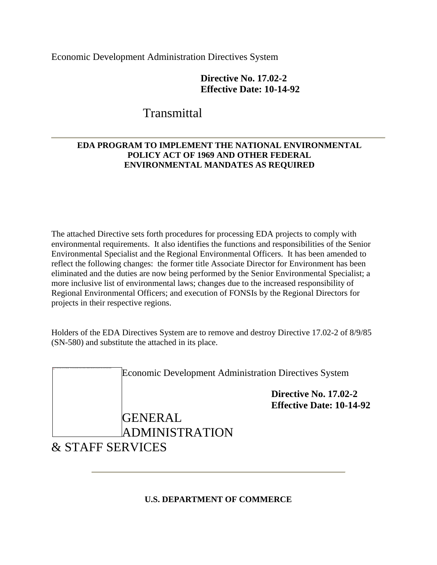Economic Development Administration Directives System

# **Directive No. 17.02-2 Effective Date: 10-14-92**

# **Transmittal**

# **EDA PROGRAM TO IMPLEMENT THE NATIONAL ENVIRONMENTAL POLICY ACT OF 1969 AND OTHER FEDERAL ENVIRONMENTAL MANDATES AS REQUIRED**

The attached Directive sets forth procedures for processing EDA projects to comply with environmental requirements. It also identifies the functions and responsibilities of the Senior Environmental Specialist and the Regional Environmental Officers. It has been amended to reflect the following changes: the former title Associate Director for Environment has been eliminated and the duties are now being performed by the Senior Environmental Specialist; a more inclusive list of environmental laws; changes due to the increased responsibility of Regional Environmental Officers; and execution of FONSIs by the Regional Directors for projects in their respective regions.

Holders of the EDA Directives System are to remove and destroy Directive 17.02-2 of 8/9/85 (SN-580) and substitute the attached in its place.

|                             | <b>Economic Development Administration Directives System</b> |  |
|-----------------------------|--------------------------------------------------------------|--|
|                             | Directive No. 17.02-2<br><b>Effective Date: 10-14-92</b>     |  |
| <b>GENERAL</b>              |                                                              |  |
| <b>ADMINISTRATION</b>       |                                                              |  |
| <b>&amp; STAFF SERVICES</b> |                                                              |  |

# **U.S. DEPARTMENT OF COMMERCE**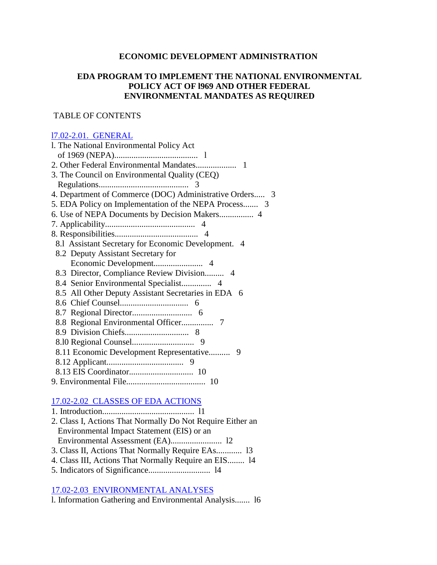### **ECONOMIC DEVELOPMENT ADMINISTRATION**

### **EDA PROGRAM TO IMPLEMENT THE NATIONAL ENVIRONMENTAL POLICY ACT OF l969 AND OTHER FEDERAL ENVIRONMENTAL MANDATES AS REQUIRED**

#### TABLE OF CONTENTS

#### l7.02-2.01. GENERAL

| 1. The National Environmental Policy Act                |
|---------------------------------------------------------|
|                                                         |
|                                                         |
| 3. The Council on Environmental Quality (CEQ)           |
|                                                         |
| 4. Department of Commerce (DOC) Administrative Orders 3 |
| 5. EDA Policy on Implementation of the NEPA Process 3   |
|                                                         |
|                                                         |
|                                                         |
| 8.1 Assistant Secretary for Economic Development. 4     |
| 8.2 Deputy Assistant Secretary for                      |
|                                                         |
| 8.3 Director, Compliance Review Division 4              |
|                                                         |
| 8.5 All Other Deputy Assistant Secretaries in EDA 6     |
|                                                         |
|                                                         |
|                                                         |
|                                                         |
|                                                         |
| 8.11 Economic Development Representative<br>9           |
|                                                         |
|                                                         |
|                                                         |

### 17.02-2.02 CLASSES OF EDA ACTIONS

| 2. Class I, Actions That Normally Do Not Require Either an |  |
|------------------------------------------------------------|--|
| Environmental Impact Statement (EIS) or an                 |  |
|                                                            |  |
| 3. Class II, Actions That Normally Require EAs 13          |  |
| 4. Class III, Actions That Normally Require an EIS 14      |  |
|                                                            |  |

# 17.02-2.03 ENVIRONMENTAL ANALYSES

l. Information Gathering and Environmental Analysis....... l6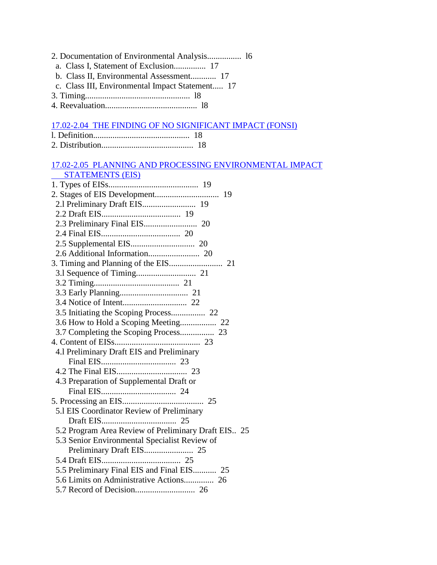- 2. Documentation of Environmental Analysis................ l6
	- a. Class I, Statement of Exclusion............... 17
- b. Class II, Environmental Assessment............ 17
- c. Class III, Environmental Impact Statement..... 17
- 3. Timing................................................. l8
- 4. Reevaluation........................................... l8

#### 17.02-2.04 THE FINDING OF NO SIGNIFICANT IMPACT (FONSI)

# 17.02-2.05 PLANNING AND PROCESSING ENVIRONMENTAL IMPACT

| <b>STATEMENTS (EIS)</b>                             |
|-----------------------------------------------------|
|                                                     |
|                                                     |
| 2.1 Preliminary Draft EIS 19                        |
|                                                     |
|                                                     |
|                                                     |
|                                                     |
|                                                     |
|                                                     |
|                                                     |
|                                                     |
|                                                     |
|                                                     |
|                                                     |
|                                                     |
| 3.7 Completing the Scoping Process 23               |
|                                                     |
| 4.1 Preliminary Draft EIS and Preliminary           |
|                                                     |
|                                                     |
| 4.3 Preparation of Supplemental Draft or            |
|                                                     |
|                                                     |
| 5.1 EIS Coordinator Review of Preliminary           |
|                                                     |
| 5.2 Program Area Review of Preliminary Draft EIS 25 |
| 5.3 Senior Environmental Specialist Review of       |
|                                                     |
|                                                     |
| 5.5 Preliminary Final EIS and Final EIS 25          |
|                                                     |
|                                                     |
|                                                     |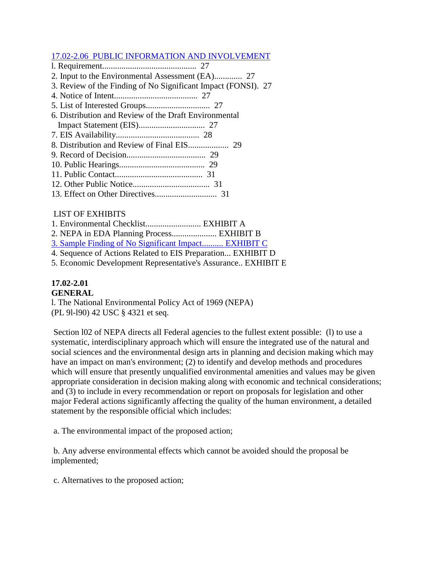### 17.02-2.06 PUBLIC INFORMATION AND INVOLVEMENT

- l. Requirement............................................ 27 2. Input to the Environmental Assessment (EA)............. 27
- 
- 3. Review of the Finding of No Significant Impact (FONSI). 27
- 4. Notice of Intent....................................... 27
- 5. List of Interested Groups.............................. 27
- 6. Distribution and Review of the Draft Environmental
- Impact Statement (EIS)............................... 27 7. EIS Availability....................................... 28
- 
- 8. Distribution and Review of Final EIS................... 29
- 9. Record of Decision..................................... 29
- 10. Public Hearings........................................ 29 11. Public Contact......................................... 31
- 12. Other Public Notice.................................... 31
- 13. Effect on Other Directives............................. 31

# LIST OF EXHIBITS

- 1. Environmental Checklist.......................... EXHIBIT A
- 2. NEPA in EDA Planning Process..................... EXHIBIT B
- 3. Sample Finding of No Significant Impact.......... EXHIBIT C
- 4. Sequence of Actions Related to EIS Preparation... EXHIBIT D
- 5. Economic Development Representative's Assurance.. EXHIBIT E

# **17.02-2.01**

### **GENERAL**

l. The National Environmental Policy Act of 1969 (NEPA) (PL 9l-l90) 42 USC § 4321 et seq.

Section l02 of NEPA directs all Federal agencies to the fullest extent possible: (l) to use a systematic, interdisciplinary approach which will ensure the integrated use of the natural and social sciences and the environmental design arts in planning and decision making which may have an impact on man's environment; (2) to identify and develop methods and procedures which will ensure that presently unqualified environmental amenities and values may be given appropriate consideration in decision making along with economic and technical considerations; and (3) to include in every recommendation or report on proposals for legislation and other major Federal actions significantly affecting the quality of the human environment, a detailed statement by the responsible official which includes:

a. The environmental impact of the proposed action;

b. Any adverse environmental effects which cannot be avoided should the proposal be implemented;

c. Alternatives to the proposed action;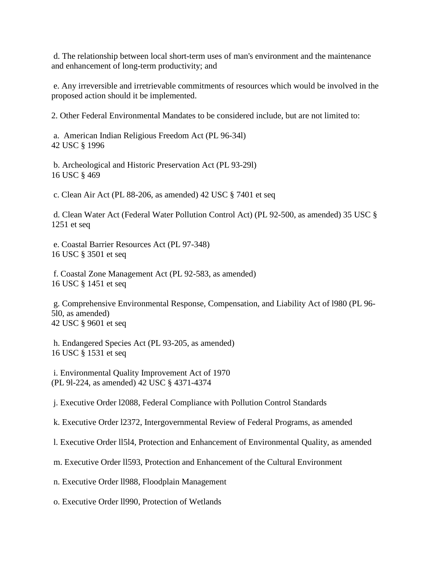d. The relationship between local short-term uses of man's environment and the maintenance and enhancement of long-term productivity; and

e. Any irreversible and irretrievable commitments of resources which would be involved in the proposed action should it be implemented.

2. Other Federal Environmental Mandates to be considered include, but are not limited to:

a. American Indian Religious Freedom Act (PL 96-34l) 42 USC § 1996

b. Archeological and Historic Preservation Act (PL 93-29l) 16 USC § 469

c. Clean Air Act (PL 88-206, as amended) 42 USC § 7401 et seq

d. Clean Water Act (Federal Water Pollution Control Act) (PL 92-500, as amended) 35 USC § 1251 et seq

e. Coastal Barrier Resources Act (PL 97-348) 16 USC § 3501 et seq

f. Coastal Zone Management Act (PL 92-583, as amended) 16 USC § 1451 et seq

g. Comprehensive Environmental Response, Compensation, and Liability Act of l980 (PL 96- 5l0, as amended) 42 USC § 9601 et seq

h. Endangered Species Act (PL 93-205, as amended) 16 USC § 1531 et seq

i. Environmental Quality Improvement Act of 1970 (PL 9l-224, as amended) 42 USC § 4371-4374

j. Executive Order l2088, Federal Compliance with Pollution Control Standards

k. Executive Order l2372, Intergovernmental Review of Federal Programs, as amended

l. Executive Order ll5l4, Protection and Enhancement of Environmental Quality, as amended

m. Executive Order ll593, Protection and Enhancement of the Cultural Environment

n. Executive Order ll988, Floodplain Management

o. Executive Order ll990, Protection of Wetlands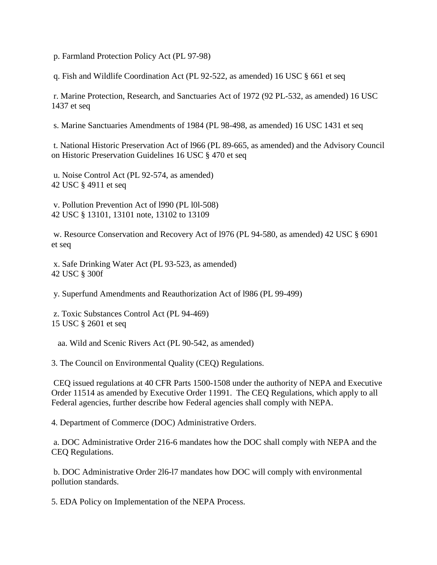p. Farmland Protection Policy Act (PL 97-98)

q. Fish and Wildlife Coordination Act (PL 92-522, as amended) 16 USC § 661 et seq

r. Marine Protection, Research, and Sanctuaries Act of 1972 (92 PL-532, as amended) 16 USC 1437 et seq

s. Marine Sanctuaries Amendments of 1984 (PL 98-498, as amended) 16 USC 1431 et seq

t. National Historic Preservation Act of l966 (PL 89-665, as amended) and the Advisory Council on Historic Preservation Guidelines 16 USC § 470 et seq

u. Noise Control Act (PL 92-574, as amended) 42 USC § 4911 et seq

v. Pollution Prevention Act of l990 (PL l0l-508) 42 USC § 13101, 13101 note, 13102 to 13109

w. Resource Conservation and Recovery Act of l976 (PL 94-580, as amended) 42 USC § 6901 et seq

x. Safe Drinking Water Act (PL 93-523, as amended) 42 USC § 300f

y. Superfund Amendments and Reauthorization Act of l986 (PL 99-499)

z. Toxic Substances Control Act (PL 94-469) 15 USC § 2601 et seq

aa. Wild and Scenic Rivers Act (PL 90-542, as amended)

3. The Council on Environmental Quality (CEQ) Regulations.

CEQ issued regulations at 40 CFR Parts 1500-1508 under the authority of NEPA and Executive Order 11514 as amended by Executive Order 11991. The CEQ Regulations, which apply to all Federal agencies, further describe how Federal agencies shall comply with NEPA.

4. Department of Commerce (DOC) Administrative Orders.

a. DOC Administrative Order 216-6 mandates how the DOC shall comply with NEPA and the CEQ Regulations.

b. DOC Administrative Order 2l6-l7 mandates how DOC will comply with environmental pollution standards.

5. EDA Policy on Implementation of the NEPA Process.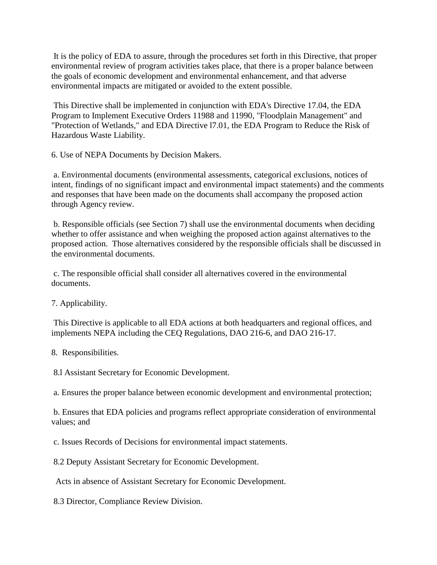It is the policy of EDA to assure, through the procedures set forth in this Directive, that proper environmental review of program activities takes place, that there is a proper balance between the goals of economic development and environmental enhancement, and that adverse environmental impacts are mitigated or avoided to the extent possible.

This Directive shall be implemented in conjunction with EDA's Directive 17.04, the EDA Program to Implement Executive Orders 11988 and 11990, "Floodplain Management" and "Protection of Wetlands," and EDA Directive l7.01, the EDA Program to Reduce the Risk of Hazardous Waste Liability.

6. Use of NEPA Documents by Decision Makers.

a. Environmental documents (environmental assessments, categorical exclusions, notices of intent, findings of no significant impact and environmental impact statements) and the comments and responses that have been made on the documents shall accompany the proposed action through Agency review.

b. Responsible officials (see Section 7) shall use the environmental documents when deciding whether to offer assistance and when weighing the proposed action against alternatives to the proposed action. Those alternatives considered by the responsible officials shall be discussed in the environmental documents.

c. The responsible official shall consider all alternatives covered in the environmental documents.

7. Applicability.

This Directive is applicable to all EDA actions at both headquarters and regional offices, and implements NEPA including the CEQ Regulations, DAO 216-6, and DAO 216-17.

8. Responsibilities.

8.l Assistant Secretary for Economic Development.

a. Ensures the proper balance between economic development and environmental protection;

b. Ensures that EDA policies and programs reflect appropriate consideration of environmental values; and

c. Issues Records of Decisions for environmental impact statements.

8.2 Deputy Assistant Secretary for Economic Development.

Acts in absence of Assistant Secretary for Economic Development.

8.3 Director, Compliance Review Division.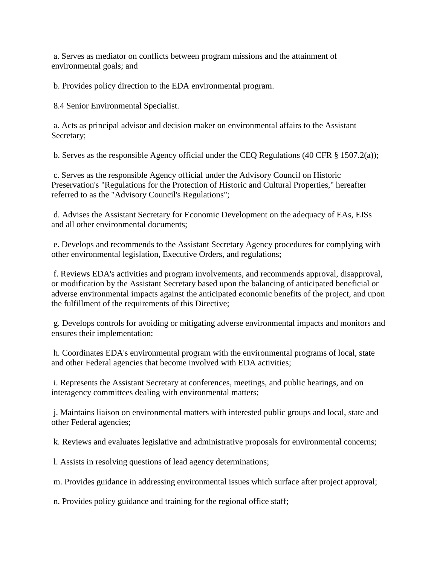a. Serves as mediator on conflicts between program missions and the attainment of environmental goals; and

b. Provides policy direction to the EDA environmental program.

8.4 Senior Environmental Specialist.

a. Acts as principal advisor and decision maker on environmental affairs to the Assistant Secretary;

b. Serves as the responsible Agency official under the CEQ Regulations (40 CFR § 1507.2(a));

c. Serves as the responsible Agency official under the Advisory Council on Historic Preservation's "Regulations for the Protection of Historic and Cultural Properties," hereafter referred to as the "Advisory Council's Regulations";

d. Advises the Assistant Secretary for Economic Development on the adequacy of EAs, EISs and all other environmental documents;

e. Develops and recommends to the Assistant Secretary Agency procedures for complying with other environmental legislation, Executive Orders, and regulations;

f. Reviews EDA's activities and program involvements, and recommends approval, disapproval, or modification by the Assistant Secretary based upon the balancing of anticipated beneficial or adverse environmental impacts against the anticipated economic benefits of the project, and upon the fulfillment of the requirements of this Directive;

g. Develops controls for avoiding or mitigating adverse environmental impacts and monitors and ensures their implementation;

h. Coordinates EDA's environmental program with the environmental programs of local, state and other Federal agencies that become involved with EDA activities;

i. Represents the Assistant Secretary at conferences, meetings, and public hearings, and on interagency committees dealing with environmental matters;

j. Maintains liaison on environmental matters with interested public groups and local, state and other Federal agencies;

k. Reviews and evaluates legislative and administrative proposals for environmental concerns;

l. Assists in resolving questions of lead agency determinations;

m. Provides guidance in addressing environmental issues which surface after project approval;

n. Provides policy guidance and training for the regional office staff;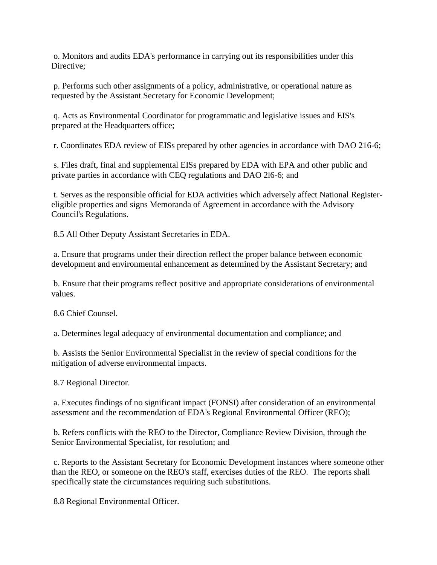o. Monitors and audits EDA's performance in carrying out its responsibilities under this Directive:

p. Performs such other assignments of a policy, administrative, or operational nature as requested by the Assistant Secretary for Economic Development;

q. Acts as Environmental Coordinator for programmatic and legislative issues and EIS's prepared at the Headquarters office;

r. Coordinates EDA review of EISs prepared by other agencies in accordance with DAO 216-6;

s. Files draft, final and supplemental EISs prepared by EDA with EPA and other public and private parties in accordance with CEQ regulations and DAO 2l6-6; and

t. Serves as the responsible official for EDA activities which adversely affect National Registereligible properties and signs Memoranda of Agreement in accordance with the Advisory Council's Regulations.

8.5 All Other Deputy Assistant Secretaries in EDA.

a. Ensure that programs under their direction reflect the proper balance between economic development and environmental enhancement as determined by the Assistant Secretary; and

b. Ensure that their programs reflect positive and appropriate considerations of environmental values.

8.6 Chief Counsel.

a. Determines legal adequacy of environmental documentation and compliance; and

b. Assists the Senior Environmental Specialist in the review of special conditions for the mitigation of adverse environmental impacts.

8.7 Regional Director.

a. Executes findings of no significant impact (FONSI) after consideration of an environmental assessment and the recommendation of EDA's Regional Environmental Officer (REO);

b. Refers conflicts with the REO to the Director, Compliance Review Division, through the Senior Environmental Specialist, for resolution; and

c. Reports to the Assistant Secretary for Economic Development instances where someone other than the REO, or someone on the REO's staff, exercises duties of the REO. The reports shall specifically state the circumstances requiring such substitutions.

8.8 Regional Environmental Officer.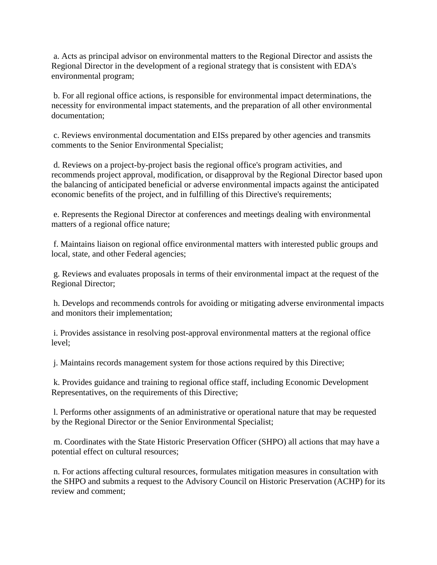a. Acts as principal advisor on environmental matters to the Regional Director and assists the Regional Director in the development of a regional strategy that is consistent with EDA's environmental program;

b. For all regional office actions, is responsible for environmental impact determinations, the necessity for environmental impact statements, and the preparation of all other environmental documentation;

c. Reviews environmental documentation and EISs prepared by other agencies and transmits comments to the Senior Environmental Specialist;

d. Reviews on a project-by-project basis the regional office's program activities, and recommends project approval, modification, or disapproval by the Regional Director based upon the balancing of anticipated beneficial or adverse environmental impacts against the anticipated economic benefits of the project, and in fulfilling of this Directive's requirements;

e. Represents the Regional Director at conferences and meetings dealing with environmental matters of a regional office nature;

f. Maintains liaison on regional office environmental matters with interested public groups and local, state, and other Federal agencies;

g. Reviews and evaluates proposals in terms of their environmental impact at the request of the Regional Director;

h. Develops and recommends controls for avoiding or mitigating adverse environmental impacts and monitors their implementation;

i. Provides assistance in resolving post-approval environmental matters at the regional office level;

j. Maintains records management system for those actions required by this Directive;

k. Provides guidance and training to regional office staff, including Economic Development Representatives, on the requirements of this Directive;

l. Performs other assignments of an administrative or operational nature that may be requested by the Regional Director or the Senior Environmental Specialist;

m. Coordinates with the State Historic Preservation Officer (SHPO) all actions that may have a potential effect on cultural resources;

n. For actions affecting cultural resources, formulates mitigation measures in consultation with the SHPO and submits a request to the Advisory Council on Historic Preservation (ACHP) for its review and comment;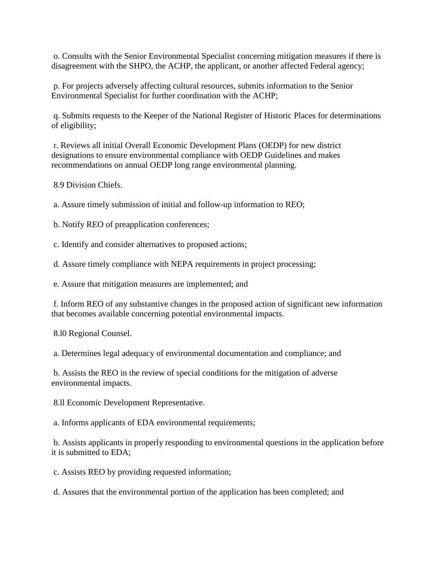o. Consults with the Senior Environmental Specialist concerning mitigation measures if there is disagreement with the SHPO, the ACHP, the applicant, or another affected Federal agency;

p. For projects adversely affecting cultural resources, submits information to the Senior Environmental Specialist for further coordination with the ACHP;

q. Submits requests to the Keeper of the National Register of Historic Places for determinations of eligibility;

r. Reviews all initial Overall Economic Development Plans (OEDP) for new district designations to ensure environmental compliance with OEDP Guidelines and makes recommendations on annual OEDP long range environmental planning.

8.9 Division Chiefs.

a. Assure timely submission of initial and follow-up information to REO;

b. Notify REO of preapplication conferences;

c. Identify and consider alternatives to proposed actions;

d. Assure timely compliance with NEPA requirements in project processing;

e. Assure that mitigation measures are implemented; and

f. Inform REO of any substantive changes in the proposed action of significant new information that becomes available concerning potential environmental impacts.

8.l0 Regional Counsel.

a. Determines legal adequacy of environmental documentation and compliance; and

b. Assists the REO in the review of special conditions for the mitigation of adverse environmental impacts.

8.ll Economic Development Representative.

a. Informs applicants of EDA environmental requirements;

b. Assists applicants in properly responding to environmental questions in the application before it is submitted to EDA;

c. Assists REO by providing requested information;

d. Assures that the environmental portion of the application has been completed; and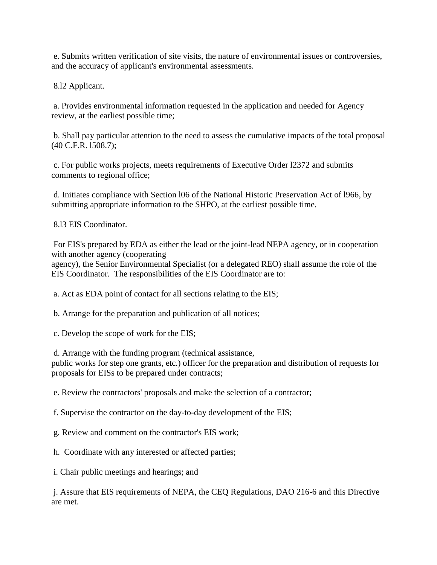e. Submits written verification of site visits, the nature of environmental issues or controversies, and the accuracy of applicant's environmental assessments.

8.l2 Applicant.

a. Provides environmental information requested in the application and needed for Agency review, at the earliest possible time;

b. Shall pay particular attention to the need to assess the cumulative impacts of the total proposal (40 C.F.R. l508.7);

c. For public works projects, meets requirements of Executive Order l2372 and submits comments to regional office;

d. Initiates compliance with Section l06 of the National Historic Preservation Act of l966, by submitting appropriate information to the SHPO, at the earliest possible time.

8.l3 EIS Coordinator.

For EIS's prepared by EDA as either the lead or the joint-lead NEPA agency, or in cooperation with another agency (cooperating

agency), the Senior Environmental Specialist (or a delegated REO) shall assume the role of the EIS Coordinator. The responsibilities of the EIS Coordinator are to:

a. Act as EDA point of contact for all sections relating to the EIS;

b. Arrange for the preparation and publication of all notices;

c. Develop the scope of work for the EIS;

d. Arrange with the funding program (technical assistance,

public works for step one grants, etc.) officer for the preparation and distribution of requests for proposals for EISs to be prepared under contracts;

e. Review the contractors' proposals and make the selection of a contractor;

f. Supervise the contractor on the day-to-day development of the EIS;

g. Review and comment on the contractor's EIS work;

h. Coordinate with any interested or affected parties;

i. Chair public meetings and hearings; and

j. Assure that EIS requirements of NEPA, the CEQ Regulations, DAO 216-6 and this Directive are met.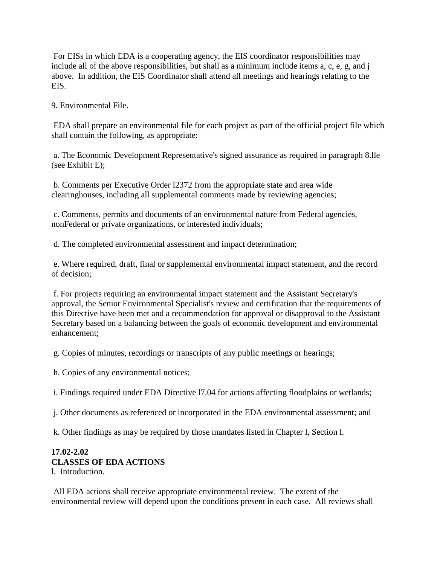For EISs in which EDA is a cooperating agency, the EIS coordinator responsibilities may include all of the above responsibilities, but shall as a minimum include items a, c, e, g, and j above. In addition, the EIS Coordinator shall attend all meetings and hearings relating to the EIS.

9. Environmental File.

EDA shall prepare an environmental file for each project as part of the official project file which shall contain the following, as appropriate:

a. The Economic Development Representative's signed assurance as required in paragraph 8.lle (see Exhibit E);

b. Comments per Executive Order l2372 from the appropriate state and area wide clearinghouses, including all supplemental comments made by reviewing agencies;

c. Comments, permits and documents of an environmental nature from Federal agencies, nonFederal or private organizations, or interested individuals;

d. The completed environmental assessment and impact determination;

e. Where required, draft, final or supplemental environmental impact statement, and the record of decision;

f. For projects requiring an environmental impact statement and the Assistant Secretary's approval, the Senior Environmental Specialist's review and certification that the requirements of this Directive have been met and a recommendation for approval or disapproval to the Assistant Secretary based on a balancing between the goals of economic development and environmental enhancement;

g. Copies of minutes, recordings or transcripts of any public meetings or hearings;

h. Copies of any environmental notices;

i. Findings required under EDA Directive l7.04 for actions affecting floodplains or wetlands;

j. Other documents as referenced or incorporated in the EDA environmental assessment; and

k. Other findings as may be required by those mandates listed in Chapter l, Section l.

# **17.02-2.02 CLASSES OF EDA ACTIONS**

l. Introduction.

All EDA actions shall receive appropriate environmental review. The extent of the environmental review will depend upon the conditions present in each case. All reviews shall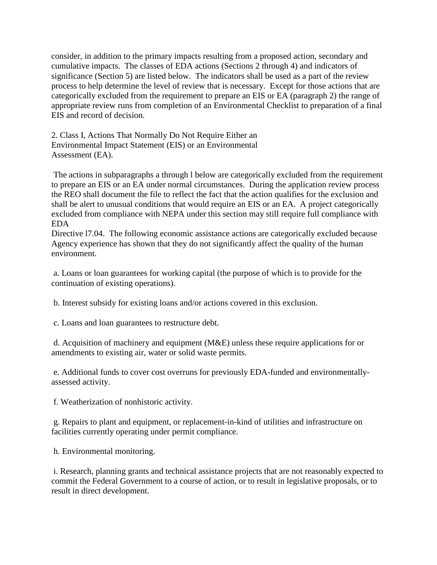consider, in addition to the primary impacts resulting from a proposed action, secondary and cumulative impacts. The classes of EDA actions (Sections 2 through 4) and indicators of significance (Section 5) are listed below. The indicators shall be used as a part of the review process to help determine the level of review that is necessary. Except for those actions that are categorically excluded from the requirement to prepare an EIS or EA (paragraph 2) the range of appropriate review runs from completion of an Environmental Checklist to preparation of a final EIS and record of decision.

2. Class I, Actions That Normally Do Not Require Either an Environmental Impact Statement (EIS) or an Environmental Assessment (EA).

The actions in subparagraphs a through l below are categorically excluded from the requirement to prepare an EIS or an EA under normal circumstances. During the application review process the REO shall document the file to reflect the fact that the action qualifies for the exclusion and shall be alert to unusual conditions that would require an EIS or an EA. A project categorically excluded from compliance with NEPA under this section may still require full compliance with EDA

Directive l7.04. The following economic assistance actions are categorically excluded because Agency experience has shown that they do not significantly affect the quality of the human environment.

a. Loans or loan guarantees for working capital (the purpose of which is to provide for the continuation of existing operations).

b. Interest subsidy for existing loans and/or actions covered in this exclusion.

c. Loans and loan guarantees to restructure debt.

d. Acquisition of machinery and equipment (M&E) unless these require applications for or amendments to existing air, water or solid waste permits.

e. Additional funds to cover cost overruns for previously EDA-funded and environmentallyassessed activity.

f. Weatherization of nonhistoric activity.

g. Repairs to plant and equipment, or replacement-in-kind of utilities and infrastructure on facilities currently operating under permit compliance.

h. Environmental monitoring.

i. Research, planning grants and technical assistance projects that are not reasonably expected to commit the Federal Government to a course of action, or to result in legislative proposals, or to result in direct development.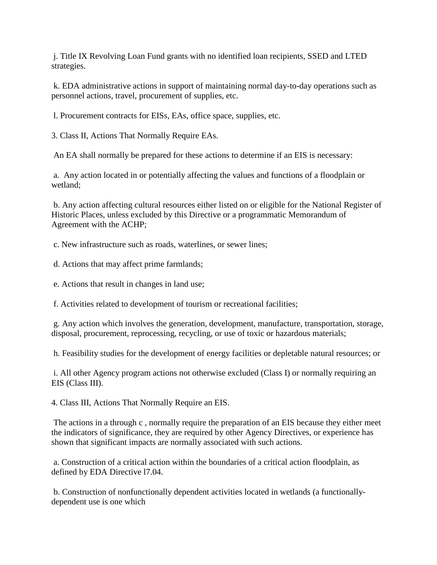j. Title IX Revolving Loan Fund grants with no identified loan recipients, SSED and LTED strategies.

k. EDA administrative actions in support of maintaining normal day-to-day operations such as personnel actions, travel, procurement of supplies, etc.

l. Procurement contracts for EISs, EAs, office space, supplies, etc.

3. Class II, Actions That Normally Require EAs.

An EA shall normally be prepared for these actions to determine if an EIS is necessary:

a. Any action located in or potentially affecting the values and functions of a floodplain or wetland;

b. Any action affecting cultural resources either listed on or eligible for the National Register of Historic Places, unless excluded by this Directive or a programmatic Memorandum of Agreement with the ACHP;

c. New infrastructure such as roads, waterlines, or sewer lines;

d. Actions that may affect prime farmlands;

e. Actions that result in changes in land use;

f. Activities related to development of tourism or recreational facilities;

g. Any action which involves the generation, development, manufacture, transportation, storage, disposal, procurement, reprocessing, recycling, or use of toxic or hazardous materials;

h. Feasibility studies for the development of energy facilities or depletable natural resources; or

i. All other Agency program actions not otherwise excluded (Class I) or normally requiring an EIS (Class III).

4. Class III, Actions That Normally Require an EIS.

The actions in a through c , normally require the preparation of an EIS because they either meet the indicators of significance, they are required by other Agency Directives, or experience has shown that significant impacts are normally associated with such actions.

a. Construction of a critical action within the boundaries of a critical action floodplain, as defined by EDA Directive l7.04.

b. Construction of nonfunctionally dependent activities located in wetlands (a functionallydependent use is one which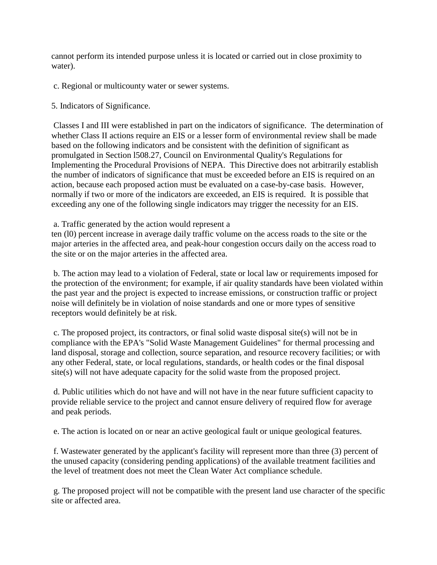cannot perform its intended purpose unless it is located or carried out in close proximity to water).

- c. Regional or multicounty water or sewer systems.
- 5. Indicators of Significance.

Classes I and III were established in part on the indicators of significance. The determination of whether Class II actions require an EIS or a lesser form of environmental review shall be made based on the following indicators and be consistent with the definition of significant as promulgated in Section l508.27, Council on Environmental Quality's Regulations for Implementing the Procedural Provisions of NEPA. This Directive does not arbitrarily establish the number of indicators of significance that must be exceeded before an EIS is required on an action, because each proposed action must be evaluated on a case-by-case basis. However, normally if two or more of the indicators are exceeded, an EIS is required. It is possible that exceeding any one of the following single indicators may trigger the necessity for an EIS.

#### a. Traffic generated by the action would represent a

ten (l0) percent increase in average daily traffic volume on the access roads to the site or the major arteries in the affected area, and peak-hour congestion occurs daily on the access road to the site or on the major arteries in the affected area.

b. The action may lead to a violation of Federal, state or local law or requirements imposed for the protection of the environment; for example, if air quality standards have been violated within the past year and the project is expected to increase emissions, or construction traffic or project noise will definitely be in violation of noise standards and one or more types of sensitive receptors would definitely be at risk.

c. The proposed project, its contractors, or final solid waste disposal site(s) will not be in compliance with the EPA's "Solid Waste Management Guidelines" for thermal processing and land disposal, storage and collection, source separation, and resource recovery facilities; or with any other Federal, state, or local regulations, standards, or health codes or the final disposal site(s) will not have adequate capacity for the solid waste from the proposed project.

d. Public utilities which do not have and will not have in the near future sufficient capacity to provide reliable service to the project and cannot ensure delivery of required flow for average and peak periods.

e. The action is located on or near an active geological fault or unique geological features.

f. Wastewater generated by the applicant's facility will represent more than three (3) percent of the unused capacity (considering pending applications) of the available treatment facilities and the level of treatment does not meet the Clean Water Act compliance schedule.

g. The proposed project will not be compatible with the present land use character of the specific site or affected area.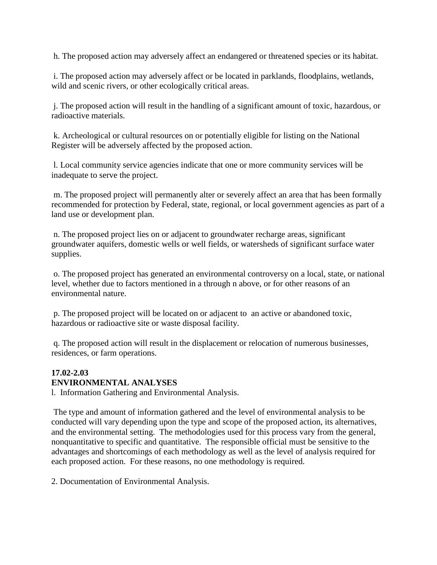h. The proposed action may adversely affect an endangered or threatened species or its habitat.

i. The proposed action may adversely affect or be located in parklands, floodplains, wetlands, wild and scenic rivers, or other ecologically critical areas.

j. The proposed action will result in the handling of a significant amount of toxic, hazardous, or radioactive materials.

k. Archeological or cultural resources on or potentially eligible for listing on the National Register will be adversely affected by the proposed action.

l. Local community service agencies indicate that one or more community services will be inadequate to serve the project.

m. The proposed project will permanently alter or severely affect an area that has been formally recommended for protection by Federal, state, regional, or local government agencies as part of a land use or development plan.

n. The proposed project lies on or adjacent to groundwater recharge areas, significant groundwater aquifers, domestic wells or well fields, or watersheds of significant surface water supplies.

o. The proposed project has generated an environmental controversy on a local, state, or national level, whether due to factors mentioned in a through n above, or for other reasons of an environmental nature.

p. The proposed project will be located on or adjacent to an active or abandoned toxic, hazardous or radioactive site or waste disposal facility.

q. The proposed action will result in the displacement or relocation of numerous businesses, residences, or farm operations.

#### **17.02-2.03 ENVIRONMENTAL ANALYSES**

l. Information Gathering and Environmental Analysis.

The type and amount of information gathered and the level of environmental analysis to be conducted will vary depending upon the type and scope of the proposed action, its alternatives, and the environmental setting. The methodologies used for this process vary from the general, nonquantitative to specific and quantitative. The responsible official must be sensitive to the advantages and shortcomings of each methodology as well as the level of analysis required for each proposed action. For these reasons, no one methodology is required.

2. Documentation of Environmental Analysis.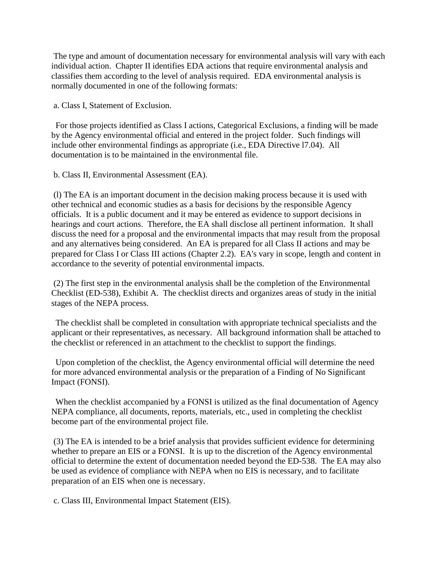The type and amount of documentation necessary for environmental analysis will vary with each individual action. Chapter II identifies EDA actions that require environmental analysis and classifies them according to the level of analysis required. EDA environmental analysis is normally documented in one of the following formats:

a. Class I, Statement of Exclusion.

For those projects identified as Class I actions, Categorical Exclusions, a finding will be made by the Agency environmental official and entered in the project folder. Such findings will include other environmental findings as appropriate (i.e., EDA Directive l7.04). All documentation is to be maintained in the environmental file.

b. Class II, Environmental Assessment (EA).

(l) The EA is an important document in the decision making process because it is used with other technical and economic studies as a basis for decisions by the responsible Agency officials. It is a public document and it may be entered as evidence to support decisions in hearings and court actions. Therefore, the EA shall disclose all pertinent information. It shall discuss the need for a proposal and the environmental impacts that may result from the proposal and any alternatives being considered. An EA is prepared for all Class II actions and may be prepared for Class I or Class III actions (Chapter 2.2). EA's vary in scope, length and content in accordance to the severity of potential environmental impacts.

(2) The first step in the environmental analysis shall be the completion of the Environmental Checklist (ED-538), Exhibit A. The checklist directs and organizes areas of study in the initial stages of the NEPA process.

The checklist shall be completed in consultation with appropriate technical specialists and the applicant or their representatives, as necessary. All background information shall be attached to the checklist or referenced in an attachment to the checklist to support the findings.

Upon completion of the checklist, the Agency environmental official will determine the need for more advanced environmental analysis or the preparation of a Finding of No Significant Impact (FONSI).

When the checklist accompanied by a FONSI is utilized as the final documentation of Agency NEPA compliance, all documents, reports, materials, etc., used in completing the checklist become part of the environmental project file.

(3) The EA is intended to be a brief analysis that provides sufficient evidence for determining whether to prepare an EIS or a FONSI. It is up to the discretion of the Agency environmental official to determine the extent of documentation needed beyond the ED-538. The EA may also be used as evidence of compliance with NEPA when no EIS is necessary, and to facilitate preparation of an EIS when one is necessary.

c. Class III, Environmental Impact Statement (EIS).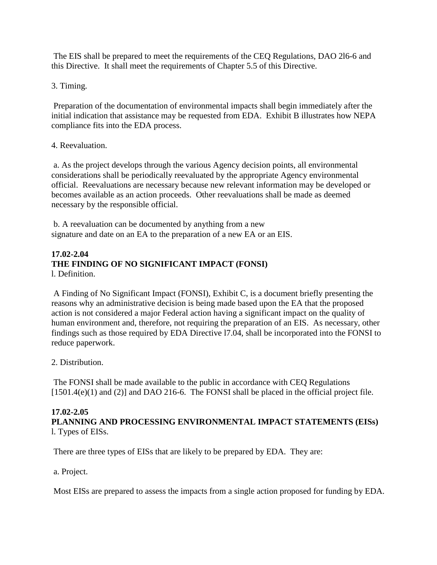The EIS shall be prepared to meet the requirements of the CEQ Regulations, DAO 2l6-6 and this Directive. It shall meet the requirements of Chapter 5.5 of this Directive.

3. Timing.

Preparation of the documentation of environmental impacts shall begin immediately after the initial indication that assistance may be requested from EDA. Exhibit B illustrates how NEPA compliance fits into the EDA process.

# 4. Reevaluation.

a. As the project develops through the various Agency decision points, all environmental considerations shall be periodically reevaluated by the appropriate Agency environmental official. Reevaluations are necessary because new relevant information may be developed or becomes available as an action proceeds. Other reevaluations shall be made as deemed necessary by the responsible official.

b. A reevaluation can be documented by anything from a new signature and date on an EA to the preparation of a new EA or an EIS.

#### **17.02-2.04 THE FINDING OF NO SIGNIFICANT IMPACT (FONSI)** l. Definition.

A Finding of No Significant Impact (FONSI), Exhibit C, is a document briefly presenting the reasons why an administrative decision is being made based upon the EA that the proposed action is not considered a major Federal action having a significant impact on the quality of human environment and, therefore, not requiring the preparation of an EIS. As necessary, other findings such as those required by EDA Directive l7.04, shall be incorporated into the FONSI to reduce paperwork.

2. Distribution.

The FONSI shall be made available to the public in accordance with CEQ Regulations  $[1501.4(e)(1)$  and  $(2)]$  and DAO 216-6. The FONSI shall be placed in the official project file.

# **17.02-2.05**

**PLANNING AND PROCESSING ENVIRONMENTAL IMPACT STATEMENTS (EISs)** l. Types of EISs.

There are three types of EISs that are likely to be prepared by EDA. They are:

a. Project.

Most EISs are prepared to assess the impacts from a single action proposed for funding by EDA.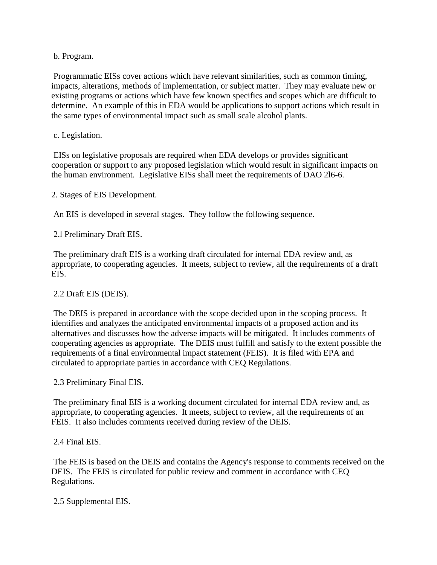b. Program.

Programmatic EISs cover actions which have relevant similarities, such as common timing, impacts, alterations, methods of implementation, or subject matter. They may evaluate new or existing programs or actions which have few known specifics and scopes which are difficult to determine. An example of this in EDA would be applications to support actions which result in the same types of environmental impact such as small scale alcohol plants.

#### c. Legislation.

EISs on legislative proposals are required when EDA develops or provides significant cooperation or support to any proposed legislation which would result in significant impacts on the human environment. Legislative EISs shall meet the requirements of DAO 2l6-6.

2. Stages of EIS Development.

An EIS is developed in several stages. They follow the following sequence.

2.l Preliminary Draft EIS.

The preliminary draft EIS is a working draft circulated for internal EDA review and, as appropriate, to cooperating agencies. It meets, subject to review, all the requirements of a draft EIS.

#### 2.2 Draft EIS (DEIS).

The DEIS is prepared in accordance with the scope decided upon in the scoping process. It identifies and analyzes the anticipated environmental impacts of a proposed action and its alternatives and discusses how the adverse impacts will be mitigated. It includes comments of cooperating agencies as appropriate. The DEIS must fulfill and satisfy to the extent possible the requirements of a final environmental impact statement (FEIS). It is filed with EPA and circulated to appropriate parties in accordance with CEQ Regulations.

2.3 Preliminary Final EIS.

The preliminary final EIS is a working document circulated for internal EDA review and, as appropriate, to cooperating agencies. It meets, subject to review, all the requirements of an FEIS. It also includes comments received during review of the DEIS.

2.4 Final EIS.

The FEIS is based on the DEIS and contains the Agency's response to comments received on the DEIS. The FEIS is circulated for public review and comment in accordance with CEQ Regulations.

2.5 Supplemental EIS.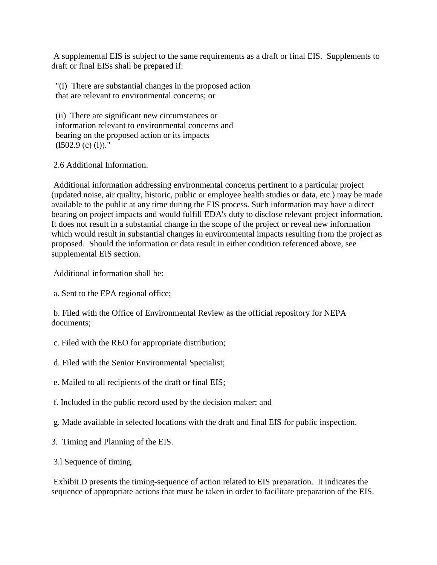A supplemental EIS is subject to the same requirements as a draft or final EIS. Supplements to draft or final EISs shall be prepared if:

"(i) There are substantial changes in the proposed action that are relevant to environmental concerns; or

(ii) There are significant new circumstances or information relevant to environmental concerns and bearing on the proposed action or its impacts  $(1502.9 (c) (l))$ ."

2.6 Additional Information.

Additional information addressing environmental concerns pertinent to a particular project (updated noise, air quality, historic, public or employee health studies or data, etc.) may be made available to the public at any time during the EIS process. Such information may have a direct bearing on project impacts and would fulfill EDA's duty to disclose relevant project information. It does not result in a substantial change in the scope of the project or reveal new information which would result in substantial changes in environmental impacts resulting from the project as proposed. Should the information or data result in either condition referenced above, see supplemental EIS section.

Additional information shall be:

a. Sent to the EPA regional office;

b. Filed with the Office of Environmental Review as the official repository for NEPA documents;

- c. Filed with the REO for appropriate distribution;
- d. Filed with the Senior Environmental Specialist;
- e. Mailed to all recipients of the draft or final EIS;
- f. Included in the public record used by the decision maker; and
- g. Made available in selected locations with the draft and final EIS for public inspection.
- 3. Timing and Planning of the EIS.
- 3.l Sequence of timing.

Exhibit D presents the timing-sequence of action related to EIS preparation. It indicates the sequence of appropriate actions that must be taken in order to facilitate preparation of the EIS.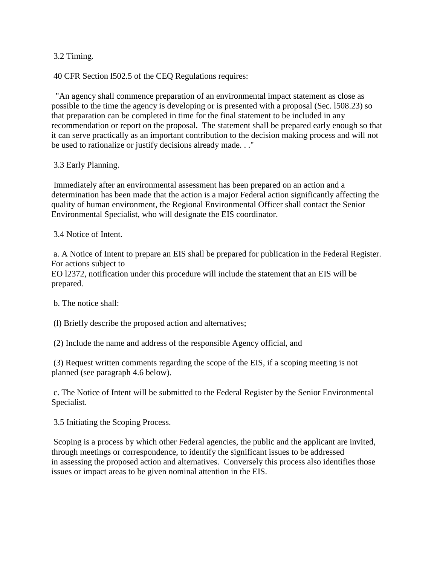3.2 Timing.

40 CFR Section l502.5 of the CEQ Regulations requires:

"An agency shall commence preparation of an environmental impact statement as close as possible to the time the agency is developing or is presented with a proposal (Sec. l508.23) so that preparation can be completed in time for the final statement to be included in any recommendation or report on the proposal. The statement shall be prepared early enough so that it can serve practically as an important contribution to the decision making process and will not be used to rationalize or justify decisions already made. . ."

3.3 Early Planning.

Immediately after an environmental assessment has been prepared on an action and a determination has been made that the action is a major Federal action significantly affecting the quality of human environment, the Regional Environmental Officer shall contact the Senior Environmental Specialist, who will designate the EIS coordinator.

3.4 Notice of Intent.

a. A Notice of Intent to prepare an EIS shall be prepared for publication in the Federal Register. For actions subject to

EO l2372, notification under this procedure will include the statement that an EIS will be prepared.

b. The notice shall:

(l) Briefly describe the proposed action and alternatives;

(2) Include the name and address of the responsible Agency official, and

(3) Request written comments regarding the scope of the EIS, if a scoping meeting is not planned (see paragraph 4.6 below).

c. The Notice of Intent will be submitted to the Federal Register by the Senior Environmental Specialist.

3.5 Initiating the Scoping Process.

Scoping is a process by which other Federal agencies, the public and the applicant are invited, through meetings or correspondence, to identify the significant issues to be addressed in assessing the proposed action and alternatives. Conversely this process also identifies those issues or impact areas to be given nominal attention in the EIS.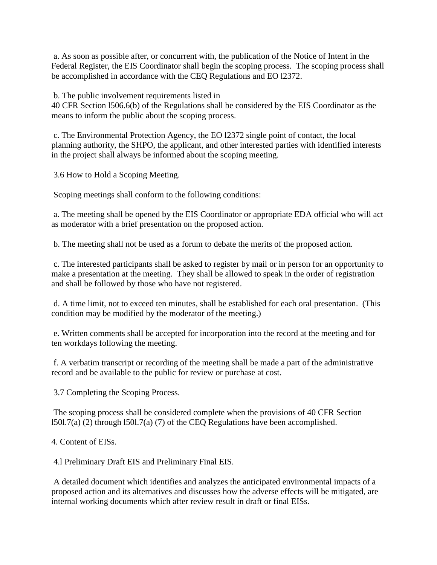a. As soon as possible after, or concurrent with, the publication of the Notice of Intent in the Federal Register, the EIS Coordinator shall begin the scoping process. The scoping process shall be accomplished in accordance with the CEQ Regulations and EO l2372.

b. The public involvement requirements listed in

40 CFR Section l506.6(b) of the Regulations shall be considered by the EIS Coordinator as the means to inform the public about the scoping process.

c. The Environmental Protection Agency, the EO l2372 single point of contact, the local planning authority, the SHPO, the applicant, and other interested parties with identified interests in the project shall always be informed about the scoping meeting.

3.6 How to Hold a Scoping Meeting.

Scoping meetings shall conform to the following conditions:

a. The meeting shall be opened by the EIS Coordinator or appropriate EDA official who will act as moderator with a brief presentation on the proposed action.

b. The meeting shall not be used as a forum to debate the merits of the proposed action.

c. The interested participants shall be asked to register by mail or in person for an opportunity to make a presentation at the meeting. They shall be allowed to speak in the order of registration and shall be followed by those who have not registered.

d. A time limit, not to exceed ten minutes, shall be established for each oral presentation. (This condition may be modified by the moderator of the meeting.)

e. Written comments shall be accepted for incorporation into the record at the meeting and for ten workdays following the meeting.

f. A verbatim transcript or recording of the meeting shall be made a part of the administrative record and be available to the public for review or purchase at cost.

3.7 Completing the Scoping Process.

The scoping process shall be considered complete when the provisions of 40 CFR Section l50l.7(a) (2) through l50l.7(a) (7) of the CEQ Regulations have been accomplished.

4. Content of EISs.

4.l Preliminary Draft EIS and Preliminary Final EIS.

A detailed document which identifies and analyzes the anticipated environmental impacts of a proposed action and its alternatives and discusses how the adverse effects will be mitigated, are internal working documents which after review result in draft or final EISs.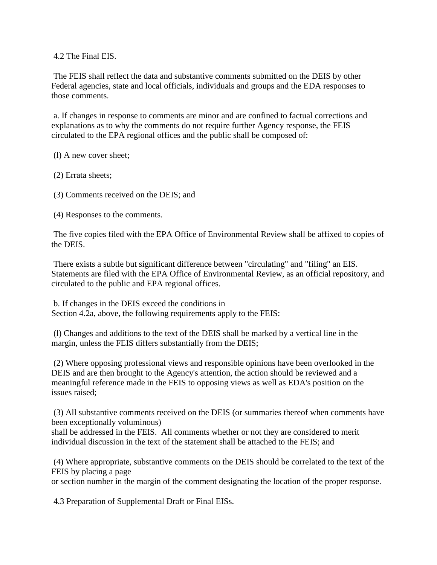4.2 The Final EIS.

The FEIS shall reflect the data and substantive comments submitted on the DEIS by other Federal agencies, state and local officials, individuals and groups and the EDA responses to those comments.

a. If changes in response to comments are minor and are confined to factual corrections and explanations as to why the comments do not require further Agency response, the FEIS circulated to the EPA regional offices and the public shall be composed of:

(l) A new cover sheet;

(2) Errata sheets;

(3) Comments received on the DEIS; and

(4) Responses to the comments.

The five copies filed with the EPA Office of Environmental Review shall be affixed to copies of the DEIS.

There exists a subtle but significant difference between "circulating" and "filing" an EIS. Statements are filed with the EPA Office of Environmental Review, as an official repository, and circulated to the public and EPA regional offices.

b. If changes in the DEIS exceed the conditions in Section 4.2a, above, the following requirements apply to the FEIS:

(l) Changes and additions to the text of the DEIS shall be marked by a vertical line in the margin, unless the FEIS differs substantially from the DEIS;

(2) Where opposing professional views and responsible opinions have been overlooked in the DEIS and are then brought to the Agency's attention, the action should be reviewed and a meaningful reference made in the FEIS to opposing views as well as EDA's position on the issues raised;

(3) All substantive comments received on the DEIS (or summaries thereof when comments have been exceptionally voluminous)

shall be addressed in the FEIS. All comments whether or not they are considered to merit individual discussion in the text of the statement shall be attached to the FEIS; and

(4) Where appropriate, substantive comments on the DEIS should be correlated to the text of the FEIS by placing a page

or section number in the margin of the comment designating the location of the proper response.

4.3 Preparation of Supplemental Draft or Final EISs.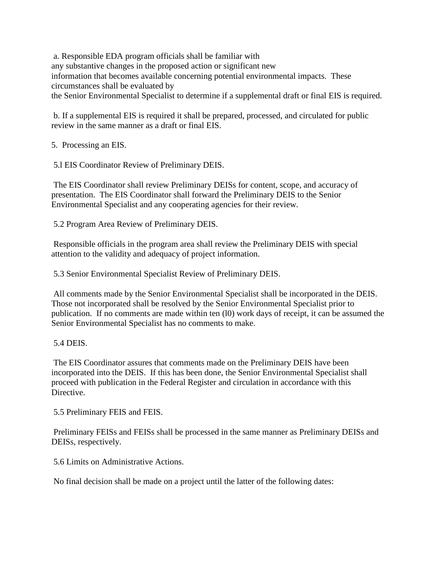a. Responsible EDA program officials shall be familiar with any substantive changes in the proposed action or significant new information that becomes available concerning potential environmental impacts. These circumstances shall be evaluated by the Senior Environmental Specialist to determine if a supplemental draft or final EIS is required.

b. If a supplemental EIS is required it shall be prepared, processed, and circulated for public review in the same manner as a draft or final EIS.

5. Processing an EIS.

5.l EIS Coordinator Review of Preliminary DEIS.

The EIS Coordinator shall review Preliminary DEISs for content, scope, and accuracy of presentation. The EIS Coordinator shall forward the Preliminary DEIS to the Senior Environmental Specialist and any cooperating agencies for their review.

5.2 Program Area Review of Preliminary DEIS.

Responsible officials in the program area shall review the Preliminary DEIS with special attention to the validity and adequacy of project information.

5.3 Senior Environmental Specialist Review of Preliminary DEIS.

All comments made by the Senior Environmental Specialist shall be incorporated in the DEIS. Those not incorporated shall be resolved by the Senior Environmental Specialist prior to publication. If no comments are made within ten (l0) work days of receipt, it can be assumed the Senior Environmental Specialist has no comments to make.

### 5.4 DEIS.

The EIS Coordinator assures that comments made on the Preliminary DEIS have been incorporated into the DEIS. If this has been done, the Senior Environmental Specialist shall proceed with publication in the Federal Register and circulation in accordance with this Directive.

5.5 Preliminary FEIS and FEIS.

Preliminary FEISs and FEISs shall be processed in the same manner as Preliminary DEISs and DEISs, respectively.

5.6 Limits on Administrative Actions.

No final decision shall be made on a project until the latter of the following dates: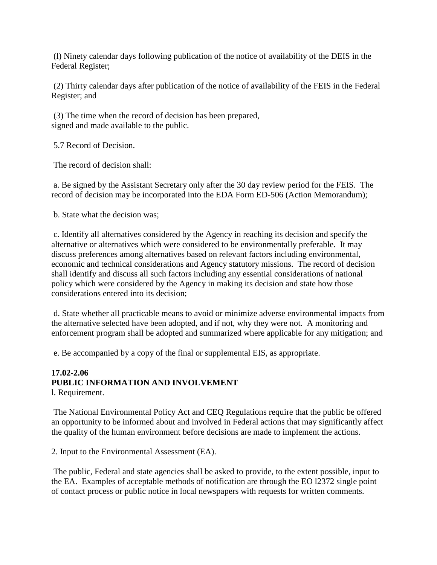(l) Ninety calendar days following publication of the notice of availability of the DEIS in the Federal Register;

(2) Thirty calendar days after publication of the notice of availability of the FEIS in the Federal Register; and

(3) The time when the record of decision has been prepared, signed and made available to the public.

5.7 Record of Decision.

The record of decision shall:

a. Be signed by the Assistant Secretary only after the 30 day review period for the FEIS. The record of decision may be incorporated into the EDA Form ED-506 (Action Memorandum);

b. State what the decision was;

c. Identify all alternatives considered by the Agency in reaching its decision and specify the alternative or alternatives which were considered to be environmentally preferable. It may discuss preferences among alternatives based on relevant factors including environmental, economic and technical considerations and Agency statutory missions. The record of decision shall identify and discuss all such factors including any essential considerations of national policy which were considered by the Agency in making its decision and state how those considerations entered into its decision;

d. State whether all practicable means to avoid or minimize adverse environmental impacts from the alternative selected have been adopted, and if not, why they were not. A monitoring and enforcement program shall be adopted and summarized where applicable for any mitigation; and

e. Be accompanied by a copy of the final or supplemental EIS, as appropriate.

# **17.02-2.06 PUBLIC INFORMATION AND INVOLVEMENT**

l. Requirement.

The National Environmental Policy Act and CEQ Regulations require that the public be offered an opportunity to be informed about and involved in Federal actions that may significantly affect the quality of the human environment before decisions are made to implement the actions.

2. Input to the Environmental Assessment (EA).

The public, Federal and state agencies shall be asked to provide, to the extent possible, input to the EA. Examples of acceptable methods of notification are through the EO l2372 single point of contact process or public notice in local newspapers with requests for written comments.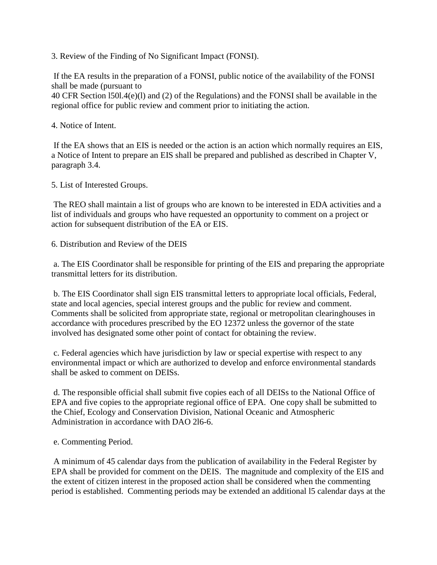3. Review of the Finding of No Significant Impact (FONSI).

If the EA results in the preparation of a FONSI, public notice of the availability of the FONSI shall be made (pursuant to

40 CFR Section l50l.4(e)(l) and (2) of the Regulations) and the FONSI shall be available in the regional office for public review and comment prior to initiating the action.

4. Notice of Intent.

If the EA shows that an EIS is needed or the action is an action which normally requires an EIS, a Notice of Intent to prepare an EIS shall be prepared and published as described in Chapter V, paragraph 3.4.

5. List of Interested Groups.

The REO shall maintain a list of groups who are known to be interested in EDA activities and a list of individuals and groups who have requested an opportunity to comment on a project or action for subsequent distribution of the EA or EIS.

6. Distribution and Review of the DEIS

a. The EIS Coordinator shall be responsible for printing of the EIS and preparing the appropriate transmittal letters for its distribution.

b. The EIS Coordinator shall sign EIS transmittal letters to appropriate local officials, Federal, state and local agencies, special interest groups and the public for review and comment. Comments shall be solicited from appropriate state, regional or metropolitan clearinghouses in accordance with procedures prescribed by the EO 12372 unless the governor of the state involved has designated some other point of contact for obtaining the review.

c. Federal agencies which have jurisdiction by law or special expertise with respect to any environmental impact or which are authorized to develop and enforce environmental standards shall be asked to comment on DEISs.

d. The responsible official shall submit five copies each of all DEISs to the National Office of EPA and five copies to the appropriate regional office of EPA. One copy shall be submitted to the Chief, Ecology and Conservation Division, National Oceanic and Atmospheric Administration in accordance with DAO 2l6-6.

e. Commenting Period.

A minimum of 45 calendar days from the publication of availability in the Federal Register by EPA shall be provided for comment on the DEIS. The magnitude and complexity of the EIS and the extent of citizen interest in the proposed action shall be considered when the commenting period is established. Commenting periods may be extended an additional l5 calendar days at the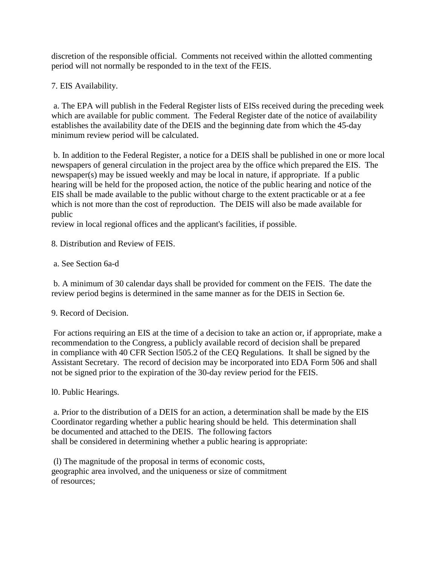discretion of the responsible official. Comments not received within the allotted commenting period will not normally be responded to in the text of the FEIS.

7. EIS Availability.

a. The EPA will publish in the Federal Register lists of EISs received during the preceding week which are available for public comment. The Federal Register date of the notice of availability establishes the availability date of the DEIS and the beginning date from which the 45-day minimum review period will be calculated.

b. In addition to the Federal Register, a notice for a DEIS shall be published in one or more local newspapers of general circulation in the project area by the office which prepared the EIS. The newspaper(s) may be issued weekly and may be local in nature, if appropriate. If a public hearing will be held for the proposed action, the notice of the public hearing and notice of the EIS shall be made available to the public without charge to the extent practicable or at a fee which is not more than the cost of reproduction. The DEIS will also be made available for public

review in local regional offices and the applicant's facilities, if possible.

8. Distribution and Review of FEIS.

# a. See Section 6a-d

b. A minimum of 30 calendar days shall be provided for comment on the FEIS. The date the review period begins is determined in the same manner as for the DEIS in Section 6e.

9. Record of Decision.

For actions requiring an EIS at the time of a decision to take an action or, if appropriate, make a recommendation to the Congress, a publicly available record of decision shall be prepared in compliance with 40 CFR Section l505.2 of the CEQ Regulations. It shall be signed by the Assistant Secretary. The record of decision may be incorporated into EDA Form 506 and shall not be signed prior to the expiration of the 30-day review period for the FEIS.

# l0. Public Hearings.

a. Prior to the distribution of a DEIS for an action, a determination shall be made by the EIS Coordinator regarding whether a public hearing should be held. This determination shall be documented and attached to the DEIS. The following factors shall be considered in determining whether a public hearing is appropriate:

(l) The magnitude of the proposal in terms of economic costs, geographic area involved, and the uniqueness or size of commitment of resources;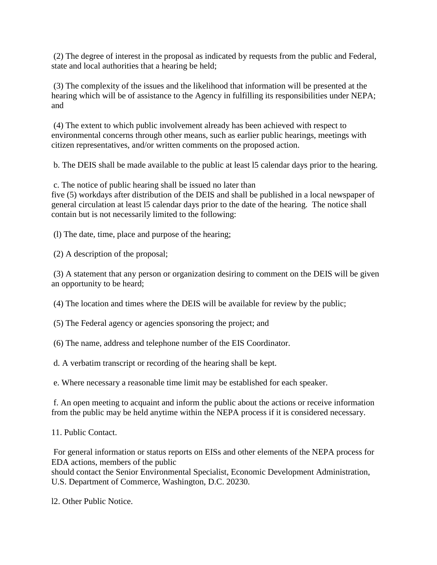(2) The degree of interest in the proposal as indicated by requests from the public and Federal, state and local authorities that a hearing be held;

(3) The complexity of the issues and the likelihood that information will be presented at the hearing which will be of assistance to the Agency in fulfilling its responsibilities under NEPA; and

(4) The extent to which public involvement already has been achieved with respect to environmental concerns through other means, such as earlier public hearings, meetings with citizen representatives, and/or written comments on the proposed action.

b. The DEIS shall be made available to the public at least l5 calendar days prior to the hearing.

c. The notice of public hearing shall be issued no later than

five (5) workdays after distribution of the DEIS and shall be published in a local newspaper of general circulation at least l5 calendar days prior to the date of the hearing. The notice shall contain but is not necessarily limited to the following:

(l) The date, time, place and purpose of the hearing;

(2) A description of the proposal;

(3) A statement that any person or organization desiring to comment on the DEIS will be given an opportunity to be heard;

(4) The location and times where the DEIS will be available for review by the public;

(5) The Federal agency or agencies sponsoring the project; and

(6) The name, address and telephone number of the EIS Coordinator.

d. A verbatim transcript or recording of the hearing shall be kept.

e. Where necessary a reasonable time limit may be established for each speaker.

f. An open meeting to acquaint and inform the public about the actions or receive information from the public may be held anytime within the NEPA process if it is considered necessary.

11. Public Contact.

For general information or status reports on EISs and other elements of the NEPA process for EDA actions, members of the public

should contact the Senior Environmental Specialist, Economic Development Administration, U.S. Department of Commerce, Washington, D.C. 20230.

l2. Other Public Notice.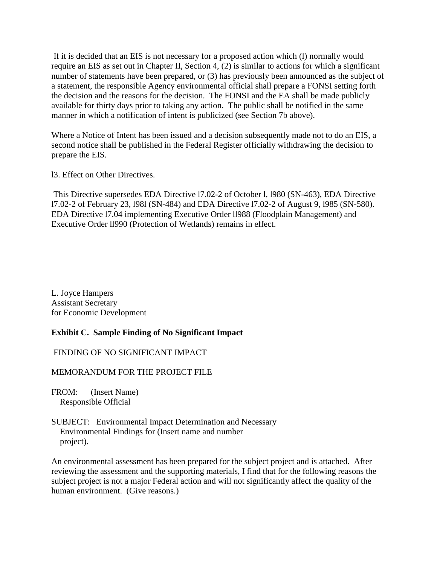If it is decided that an EIS is not necessary for a proposed action which (l) normally would require an EIS as set out in Chapter II, Section 4, (2) is similar to actions for which a significant number of statements have been prepared, or (3) has previously been announced as the subject of a statement, the responsible Agency environmental official shall prepare a FONSI setting forth the decision and the reasons for the decision. The FONSI and the EA shall be made publicly available for thirty days prior to taking any action. The public shall be notified in the same manner in which a notification of intent is publicized (see Section 7b above).

Where a Notice of Intent has been issued and a decision subsequently made not to do an EIS, a second notice shall be published in the Federal Register officially withdrawing the decision to prepare the EIS.

l3. Effect on Other Directives.

This Directive supersedes EDA Directive l7.02-2 of October l, l980 (SN-463), EDA Directive l7.02-2 of February 23, l98l (SN-484) and EDA Directive l7.02-2 of August 9, l985 (SN-580). EDA Directive l7.04 implementing Executive Order ll988 (Floodplain Management) and Executive Order ll990 (Protection of Wetlands) remains in effect.

L. Joyce Hampers Assistant Secretary for Economic Development

### **Exhibit C. Sample Finding of No Significant Impact**

#### FINDING OF NO SIGNIFICANT IMPACT

#### MEMORANDUM FOR THE PROJECT FILE

FROM: (Insert Name) Responsible Official

SUBJECT: Environmental Impact Determination and Necessary Environmental Findings for (Insert name and number project).

An environmental assessment has been prepared for the subject project and is attached. After reviewing the assessment and the supporting materials, I find that for the following reasons the subject project is not a major Federal action and will not significantly affect the quality of the human environment. (Give reasons.)